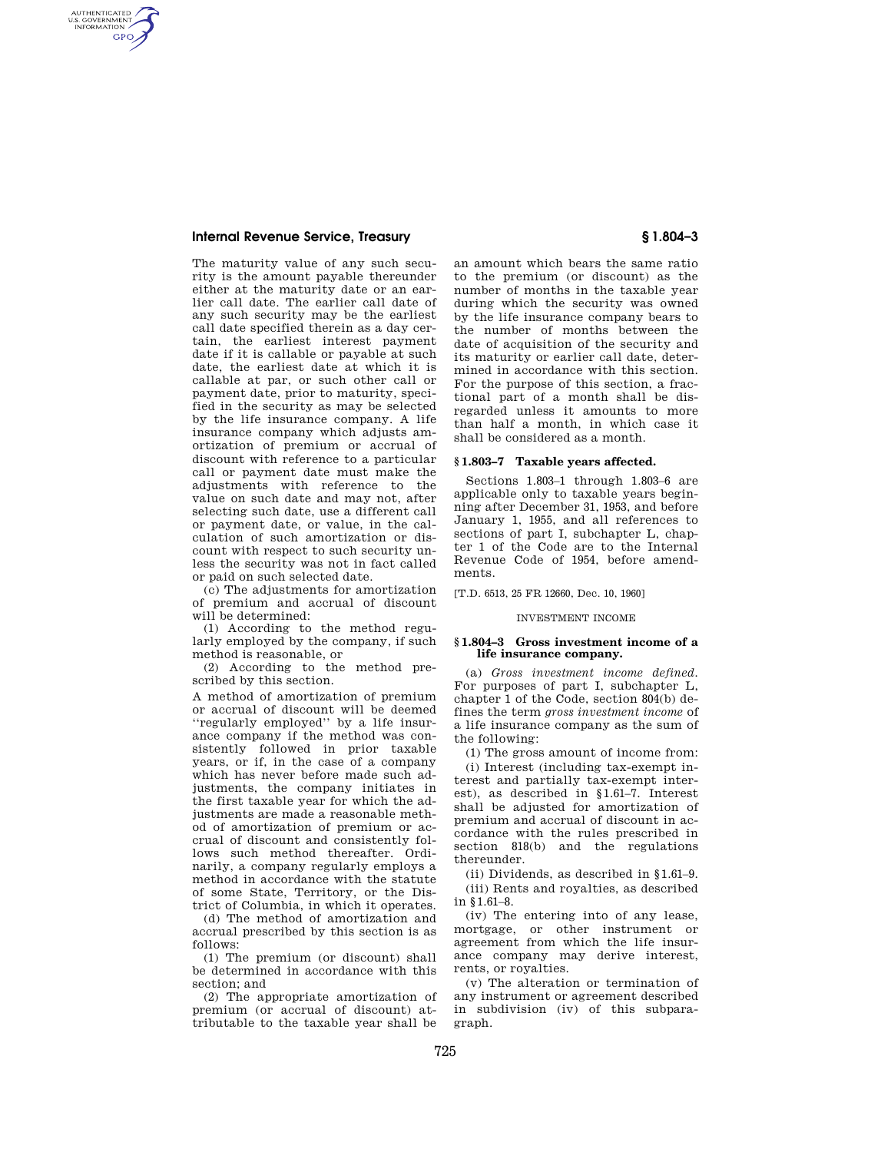## **Internal Revenue Service, Treasury § 1.804–3**

AUTHENTICATED<br>U.S. GOVERNMENT<br>INFORMATION **GPO** 

> The maturity value of any such security is the amount payable thereunder either at the maturity date or an earlier call date. The earlier call date of any such security may be the earliest call date specified therein as a day certain, the earliest interest payment date if it is callable or payable at such date, the earliest date at which it is callable at par, or such other call or payment date, prior to maturity, specified in the security as may be selected by the life insurance company. A life insurance company which adjusts amortization of premium or accrual of discount with reference to a particular call or payment date must make the adjustments with reference to the value on such date and may not, after selecting such date, use a different call or payment date, or value, in the calculation of such amortization or discount with respect to such security unless the security was not in fact called or paid on such selected date.

> (c) The adjustments for amortization of premium and accrual of discount will be determined:

> (1) According to the method regularly employed by the company, if such method is reasonable, or

> (2) According to the method prescribed by this section.

A method of amortization of premium or accrual of discount will be deemed ''regularly employed'' by a life insurance company if the method was consistently followed in prior taxable years, or if, in the case of a company which has never before made such adjustments, the company initiates in the first taxable year for which the adjustments are made a reasonable method of amortization of premium or accrual of discount and consistently follows such method thereafter. Ordinarily, a company regularly employs a method in accordance with the statute of some State, Territory, or the District of Columbia, in which it operates.

(d) The method of amortization and accrual prescribed by this section is as follows:

(1) The premium (or discount) shall be determined in accordance with this section; and

(2) The appropriate amortization of premium (or accrual of discount) attributable to the taxable year shall be

an amount which bears the same ratio to the premium (or discount) as the number of months in the taxable year during which the security was owned by the life insurance company bears to the number of months between the date of acquisition of the security and its maturity or earlier call date, determined in accordance with this section. For the purpose of this section, a fractional part of a month shall be disregarded unless it amounts to more than half a month, in which case it shall be considered as a month.

### **§ 1.803–7 Taxable years affected.**

Sections 1.803–1 through 1.803–6 are applicable only to taxable years beginning after December 31, 1953, and before January 1, 1955, and all references to sections of part I, subchapter L, chapter 1 of the Code are to the Internal Revenue Code of 1954, before amendments.

[T.D. 6513, 25 FR 12660, Dec. 10, 1960]

#### INVESTMENT INCOME

#### **§ 1.804–3 Gross investment income of a life insurance company.**

(a) *Gross investment income defined.*  For purposes of part I, subchapter L, chapter 1 of the Code, section 804(b) defines the term *gross investment income* of a life insurance company as the sum of the following:

(1) The gross amount of income from: (i) Interest (including tax-exempt interest and partially tax-exempt interest), as described in §1.61–7. Interest shall be adjusted for amortization of premium and accrual of discount in accordance with the rules prescribed in section 818(b) and the regulations thereunder.

(ii) Dividends, as described in §1.61–9. (iii) Rents and royalties, as described in §1.61–8.

(iv) The entering into of any lease, mortgage, or other instrument or agreement from which the life insurance company may derive interest, rents, or royalties.

(v) The alteration or termination of any instrument or agreement described in subdivision (iv) of this subparagraph.